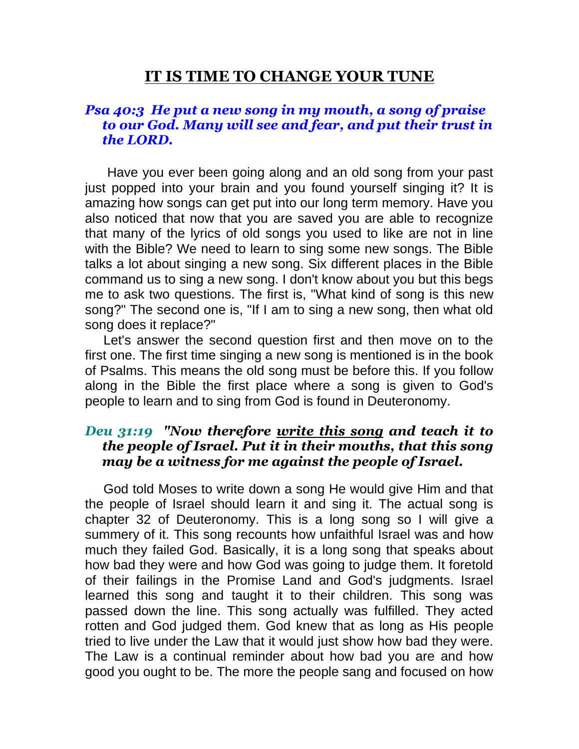# **IT IS TIME TO CHANGE YOUR TUNE**

### *Psa 40:3 He put a new song in my mouth, a song of praise to our God. Many will see and fear, and put their trust in the LORD.*

 Have you ever been going along and an old song from your past just popped into your brain and you found yourself singing it? It is amazing how songs can get put into our long term memory. Have you also noticed that now that you are saved you are able to recognize that many of the lyrics of old songs you used to like are not in line with the Bible? We need to learn to sing some new songs. The Bible talks a lot about singing a new song. Six different places in the Bible command us to sing a new song. I don't know about you but this begs me to ask two questions. The first is, "What kind of song is this new song?" The second one is, "If I am to sing a new song, then what old song does it replace?"

 Let's answer the second question first and then move on to the first one. The first time singing a new song is mentioned is in the book of Psalms. This means the old song must be before this. If you follow along in the Bible the first place where a song is given to God's people to learn and to sing from God is found in Deuteronomy.

#### *Deu 31:19 "Now therefore write this song and teach it to the people of Israel. Put it in their mouths, that this song may be a witness for me against the people of Israel.*

 God told Moses to write down a song He would give Him and that the people of Israel should learn it and sing it. The actual song is chapter 32 of Deuteronomy. This is a long song so I will give a summery of it. This song recounts how unfaithful Israel was and how much they failed God. Basically, it is a long song that speaks about how bad they were and how God was going to judge them. It foretold of their failings in the Promise Land and God's judgments. Israel learned this song and taught it to their children. This song was passed down the line. This song actually was fulfilled. They acted rotten and God judged them. God knew that as long as His people tried to live under the Law that it would just show how bad they were. The Law is a continual reminder about how bad you are and how good you ought to be. The more the people sang and focused on how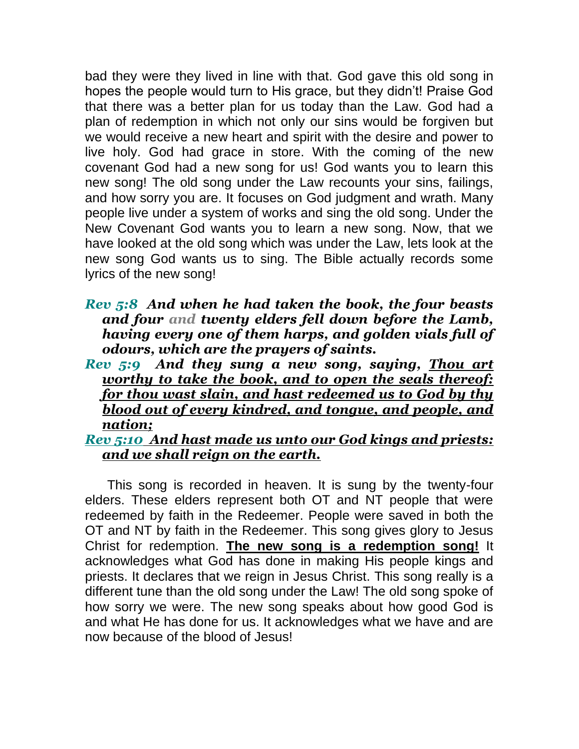bad they were they lived in line with that. God gave this old song in hopes the people would turn to His grace, but they didn't! Praise God that there was a better plan for us today than the Law. God had a plan of redemption in which not only our sins would be forgiven but we would receive a new heart and spirit with the desire and power to live holy. God had grace in store. With the coming of the new covenant God had a new song for us! God wants you to learn this new song! The old song under the Law recounts your sins, failings, and how sorry you are. It focuses on God judgment and wrath. Many people live under a system of works and sing the old song. Under the New Covenant God wants you to learn a new song. Now, that we have looked at the old song which was under the Law, lets look at the new song God wants us to sing. The Bible actually records some lyrics of the new song!

- *Rev 5:8 And when he had taken the book, the four beasts and four and twenty elders fell down before the Lamb, having every one of them harps, and golden vials full of odours, which are the prayers of saints.*
- *Rev 5:9 And they sung a new song, saying, Thou art worthy to take the book, and to open the seals thereof: for thou wast slain, and hast redeemed us to God by thy blood out of every kindred, and tongue, and people, and nation;*

#### *Rev 5:10 And hast made us unto our God kings and priests: and we shall reign on the earth.*

 This song is recorded in heaven. It is sung by the twenty-four elders. These elders represent both OT and NT people that were redeemed by faith in the Redeemer. People were saved in both the OT and NT by faith in the Redeemer. This song gives glory to Jesus Christ for redemption. **The new song is a redemption song!** It acknowledges what God has done in making His people kings and priests. It declares that we reign in Jesus Christ. This song really is a different tune than the old song under the Law! The old song spoke of how sorry we were. The new song speaks about how good God is and what He has done for us. It acknowledges what we have and are now because of the blood of Jesus!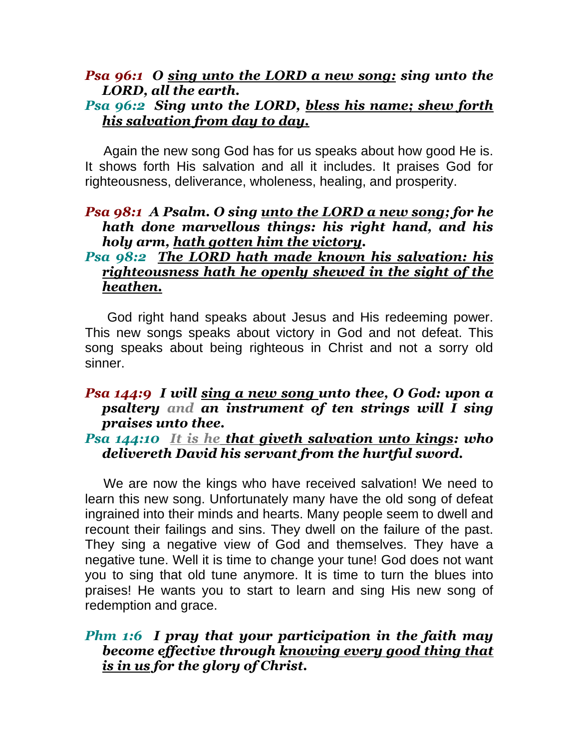# *Psa 96:1 O sing unto the LORD a new song: sing unto the LORD, all the earth.*

# *Psa 96:2 Sing unto the LORD, bless his name; shew forth his salvation from day to day.*

 Again the new song God has for us speaks about how good He is. It shows forth His salvation and all it includes. It praises God for righteousness, deliverance, wholeness, healing, and prosperity.

## *Psa 98:1 A Psalm. O sing unto the LORD a new song; for he hath done marvellous things: his right hand, and his holy arm, hath gotten him the victory.*

# *Psa 98:2 The LORD hath made known his salvation: his righteousness hath he openly shewed in the sight of the heathen.*

 God right hand speaks about Jesus and His redeeming power. This new songs speaks about victory in God and not defeat. This song speaks about being righteous in Christ and not a sorry old sinner.

#### *Psa 144:9 I will sing a new song unto thee, O God: upon a psaltery and an instrument of ten strings will I sing praises unto thee.*

### *Psa 144:10 It is he that giveth salvation unto kings: who delivereth David his servant from the hurtful sword.*

 We are now the kings who have received salvation! We need to learn this new song. Unfortunately many have the old song of defeat ingrained into their minds and hearts. Many people seem to dwell and recount their failings and sins. They dwell on the failure of the past. They sing a negative view of God and themselves. They have a negative tune. Well it is time to change your tune! God does not want you to sing that old tune anymore. It is time to turn the blues into praises! He wants you to start to learn and sing His new song of redemption and grace.

## *Phm 1:6 I pray that your participation in the faith may become effective through knowing every good thing that is in us for the glory of Christ.*